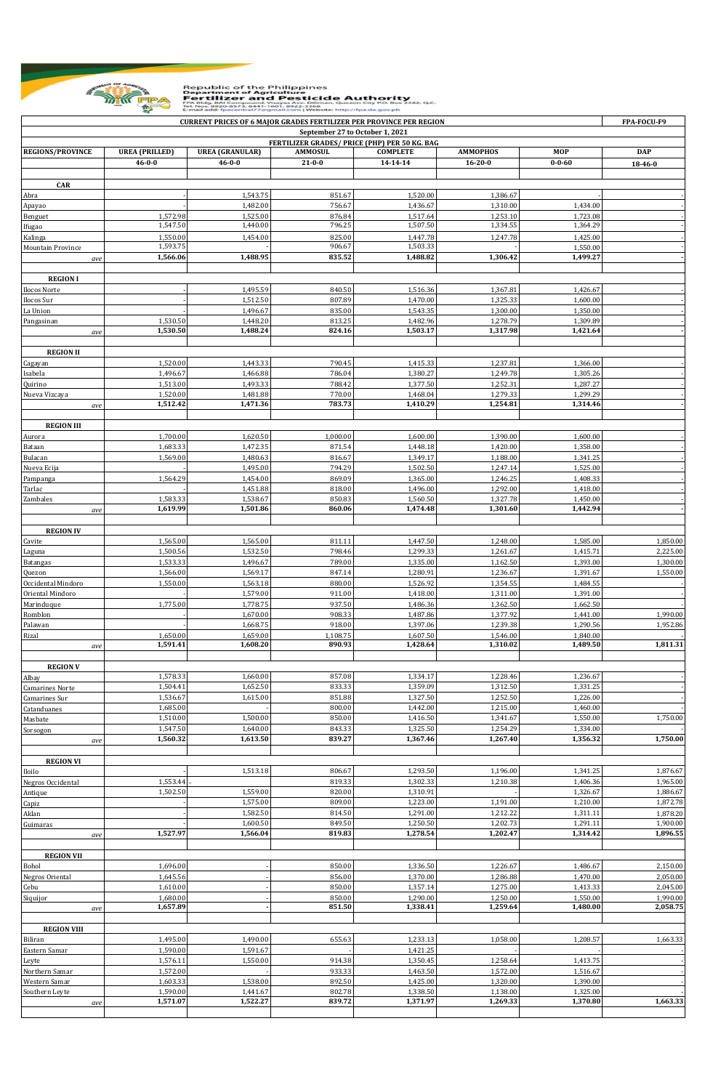

Republic of the Philippines<br> **Example 2014 Contract of Agriculture**<br> **Example 2014 Contract of Anti-Pesticide Authority**<br>
The Mos 8920-8972-8441-1601 Taylors Daman, Quezon City RO. Box 2582, QC.<br>
Email add: fpacentral??@g

| <b>CURRENT PRICES OF 6 MAJOR GRADES FERTILIZER PER PROVINCE PER REGION</b>       |                       |                        |                  |                      |                      |                      |            |  |  |
|----------------------------------------------------------------------------------|-----------------------|------------------------|------------------|----------------------|----------------------|----------------------|------------|--|--|
| September 27 to October 1, 2021<br>FERTILIZER GRADES/ PRICE (PHP) PER 50 KG. BAG |                       |                        |                  |                      |                      |                      |            |  |  |
| <b>REGIONS/PROVINCE</b>                                                          | <b>UREA (PRILLED)</b> | <b>UREA</b> (GRANULAR) | <b>AMMOSUL</b>   | <b>COMPLETE</b>      | <b>AMMOPHOS</b>      | <b>MOP</b>           | <b>DAP</b> |  |  |
|                                                                                  | $46 - 0 - 0$          | $46 - 0 - 0$           | $21 - 0 - 0$     | 14-14-14             | $16 - 20 - 0$        | $0 - 0 - 60$         | 18-46-0    |  |  |
| <b>CAR</b>                                                                       |                       |                        |                  |                      |                      |                      |            |  |  |
| Abra                                                                             |                       | 1,543.75               | 851.67           | 1,520.00             | 1,386.67             |                      |            |  |  |
| Apayao                                                                           |                       | 1,482.00               | 756.67           | 1,436.67             | 1,310.00             | 1,434.00             |            |  |  |
| Benguet                                                                          | 1,572.98              | 1,525.00               | 876.84           | 1,517.64             | 1,253.10             | 1,723.08             |            |  |  |
| Ifugao                                                                           | 1,547.50              | 1,440.00               | 796.25           | 1,507.50             | 1,334.55             | 1,364.29             |            |  |  |
| Kalinga                                                                          | 1,550.00              | 1,454.00               | 825.00           | 1,447.78             | 1,247.78             | 1,425.00             |            |  |  |
| Mountain Province                                                                | 1,593.75              | 1,488.95               | 906.67<br>835.52 | 1,503.33<br>1,488.82 | 1,306.42             | 1,550.00<br>1,499.27 |            |  |  |
| ave                                                                              | 1,566.06              |                        |                  |                      |                      |                      |            |  |  |
| <b>REGION I</b>                                                                  |                       |                        |                  |                      |                      |                      |            |  |  |
| Ilocos Norte                                                                     |                       | 1,495.59               | 840.50           | 1,516.36             | 1,367.81             | 1,426.67             |            |  |  |
| Ilocos Sur                                                                       |                       | 1,512.50               | 807.89           | 1,470.00             | 1,325.33             | 1,600.00             |            |  |  |
| La Union                                                                         |                       | 1,496.67               | 835.00           | 1,543.35             | 1,300.00             | 1,350.00             |            |  |  |
| Pangasinan                                                                       | 1,530.50              | 1,448.20               | 813.25           | 1,482.96             | 1,278.79             | 1,309.89             |            |  |  |
| ave                                                                              | 1,530.50              | 1,488.24               | 824.16           | 1,503.17             | 1,317.98             | 1,421.64             |            |  |  |
| <b>REGION II</b>                                                                 |                       |                        |                  |                      |                      |                      |            |  |  |
| Cagayan                                                                          | 1,520.00              | 1,443.33               | 790.45           | 1,415.33             | 1,237.81             | 1,366.00             |            |  |  |
| Isabela                                                                          | 1,496.67              | 1,466.88               | 786.04           | 1,380.27             | 1,249.78             | 1,305.26             |            |  |  |
| Quirino                                                                          | 1,513.00              | 1,493.33               | 788.42           | 1,377.50             | 1,252.31             | 1,287.27             |            |  |  |
| Nueva Vizcaya                                                                    | 1,520.00              | 1,481.88               | 770.00           | 1,468.04             | 1,279.33             | 1,299.29             |            |  |  |
| ave                                                                              | 1,512.42              | 1,471.36               | 783.73           | 1,410.29             | 1,254.81             | 1,314.46             |            |  |  |
|                                                                                  |                       |                        |                  |                      |                      |                      |            |  |  |
| <b>REGION III</b>                                                                | 1,700.00              | 1,620.50               | 1,000.00         | 1,600.00             | 1,390.00             | 1,600.00             |            |  |  |
| Aurora<br>Bataan                                                                 | 1,683.33              | 1,472.35               | 871.54           | 1,448.18             | 1,420.00             | 1,358.00             |            |  |  |
| Bulacan                                                                          | 1,569.00              | 1,480.63               | 816.67           | 1,349.17             | 1,188.00             | 1,341.25             |            |  |  |
| Nueva Ecija                                                                      |                       | 1,495.00               | 794.29           | 1,502.50             | 1,247.14             | 1,525.00             |            |  |  |
| Pampanga                                                                         | 1,564.29              | 1,454.00               | 869.09           | 1,365.00             | 1,246.25             | 1,408.33             |            |  |  |
| Tarlac                                                                           |                       | 1,451.88               | 818.00           | 1,496.00             | 1,292.00             | 1,418.00             |            |  |  |
| Zambales                                                                         | 1,583.33              | 1,538.67               | 850.83           | 1,560.50             | 1,327.78             | 1,450.00             |            |  |  |
| ave                                                                              | 1,619.99              | 1,501.86               | 860.06           | 1,474.48             | 1,301.60             | 1,442.94             |            |  |  |
| <b>REGION IV</b>                                                                 |                       |                        |                  |                      |                      |                      |            |  |  |
| Cavite                                                                           | 1,565.00              | 1,565.00               | 811.11           | 1,447.50             | 1,248.00             | 1,585.00             | 1,850.00   |  |  |
| Laguna                                                                           | 1,500.56              | 1,532.50               | 798.46           | 1,299.33             | 1,261.67             | 1,415.71             | 2,225.00   |  |  |
| <b>Batangas</b>                                                                  | 1,533.33              | 1,496.67               | 789.00           | 1,335.00             | 1,162.50             | 1,393.00             | 1,300.00   |  |  |
| Quezon                                                                           | 1,566.00              | 1,569.17               | 847.14           | 1,280.91             | 1,236.67             | 1,391.67             | 1,550.00   |  |  |
| Occidental Mindoro                                                               | 1,550.00              | 1,563.18               | 880.00           | 1,526.92             | 1,354.55             | 1,484.55             |            |  |  |
| Oriental Mindoro                                                                 |                       | 1,579.00               | 911.00           | 1,418.00             | 1,311.00             | 1,391.00             |            |  |  |
| Marinduque<br>Romblon                                                            | 1,775.00              | 1,778.75<br>1,670.00   | 937.50<br>908.33 | 1,486.36<br>1,487.86 | 1,362.50<br>1,377.92 | 1,662.50<br>1,441.00 | 1,990.00   |  |  |
| Palawan                                                                          |                       | 1,668.75               | 918.00           | 1,397.06             | 1,239.38             | 1,290.56             | 1,952.86   |  |  |
| Rizal                                                                            | 1,650.00              | 1,659.00               | 1,108.75         | 1,607.50             | 1,546.00             | 1,840.00             |            |  |  |
| ave                                                                              | 1,591.41              | 1,608.20               | 890.93           | 1,428.64             | 1,310.02             | 1,489.50             | 1,811.31   |  |  |
|                                                                                  |                       |                        |                  |                      |                      |                      |            |  |  |
| <b>REGION V</b>                                                                  |                       |                        |                  |                      |                      |                      |            |  |  |
| Albay                                                                            | 1,578.33<br>1,504.41  | 1,660.00<br>1,652.50   | 857.08<br>833.33 | 1,334.17<br>1,359.09 | 1,228.46<br>1,312.50 | 1,236.67<br>1,331.25 |            |  |  |
| <b>Camarines Norte</b><br>Camarines Sur                                          | 1,536.67              | 1,615.00               | 851.88           | 1,327.50             | 1,252.50             | 1,226.00             |            |  |  |
| Catanduanes                                                                      | 1,685.00              |                        | 800.00           | 1,442.00             | 1,215.00             | 1,460.00             |            |  |  |
| Masbate                                                                          | 1,510.00              | 1,500.00               | 850.00           | 1,416.50             | 1,341.67             | 1,550.00             | 1,750.00   |  |  |
| Sorsogon                                                                         | 1,547.50              | 1,640.00               | 843.33           | 1,325.50             | 1,254.29             | 1,334.00             |            |  |  |
| ave                                                                              | 1,560.32              | 1,613.50               | 839.27           | 1,367.46             | 1,267.40             | 1,356.32             | 1,750.00   |  |  |
|                                                                                  |                       |                        |                  |                      |                      |                      |            |  |  |
| <b>REGION VI</b>                                                                 |                       | 1,513.18               | 806.67           | 1,293.50             | 1,196.00             | 1,341.25             | 1,876.67   |  |  |
| Iloilo<br>Negros Occidental                                                      | 1,553.44              |                        | 819.33           | 1,302.33             | 1,210.38             | 1,406.36             | 1,965.00   |  |  |
| Antique                                                                          | 1,502.50              | 1,559.00               | 820.00           | 1,310.91             |                      | 1,326.67             | 1,886.67   |  |  |
| Capiz                                                                            |                       | 1,575.00               | 809.00           | 1,223.00             | 1,191.00             | 1,210.00             | 1,872.78   |  |  |
| Aklan                                                                            |                       | 1,582.50               | 814.50           | 1,291.00             | 1,212.22             | 1,311.11             | 1,878.20   |  |  |
| Guimaras                                                                         |                       | 1,600.50               | 849.50           | 1,250.50             | 1,202.73             | 1,291.11             | 1,900.00   |  |  |
| ave                                                                              | 1,527.97              | 1,566.04               | 819.83           | 1,278.54             | 1,202.47             | 1,314.42             | 1,896.55   |  |  |
| <b>REGION VII</b>                                                                |                       |                        |                  |                      |                      |                      |            |  |  |
| Bohol                                                                            | 1,696.00              |                        | 850.00           | 1,336.50             | 1,226.67             | 1,486.67             | 2,150.00   |  |  |
| Negros Oriental                                                                  | 1,645.56              |                        | 856.00           | 1,370.00             | 1,286.88             | 1,470.00             | 2,050.00   |  |  |
| Cebu                                                                             | 1,610.00              |                        | 850.00           | 1,357.14             | 1,275.00             | 1,413.33             | 2,045.00   |  |  |
| Siquijor                                                                         | 1,680.00              |                        | 850.00           | 1,290.00             | 1,250.00             | 1,550.00             | 1,990.00   |  |  |
| ave                                                                              | 1,657.89              |                        | 851.50           | 1,338.41             | 1,259.64             | 1,480.00             | 2,058.75   |  |  |
|                                                                                  |                       |                        |                  |                      |                      |                      |            |  |  |
| <b>REGION VIII</b><br>Biliran                                                    | 1,495.00              | 1,490.00               | 655.63           | 1,233.13             | 1,058.00             | 1,208.57             | 1,663.33   |  |  |
| Eastern Samar                                                                    | 1,590.00              | 1,591.67               |                  | 1,421.25             |                      |                      |            |  |  |
| Leyte                                                                            | 1,576.11              | 1,550.00               | 914.38           | 1,350.45             | 1,258.64             | 1,413.75             |            |  |  |
| Northern Samar                                                                   | 1,572.00              |                        | 933.33           | 1,463.50             | 1,572.00             | 1,516.67             |            |  |  |
| Western Samar                                                                    | 1,603.33              | 1,538.00               | 892.50           | 1,425.00             | 1,320.00             | 1,390.00             |            |  |  |
| Southern Leyte                                                                   | 1,590.00              | 1,441.67               | 802.78           | 1,338.50             | 1,138.00             | 1,325.00             |            |  |  |
| ave                                                                              | 1,571.07              | 1,522.27               | 839.72           | 1,371.97             | 1,269.33             | 1,370.80             | 1,663.33   |  |  |
|                                                                                  |                       |                        |                  |                      |                      |                      |            |  |  |